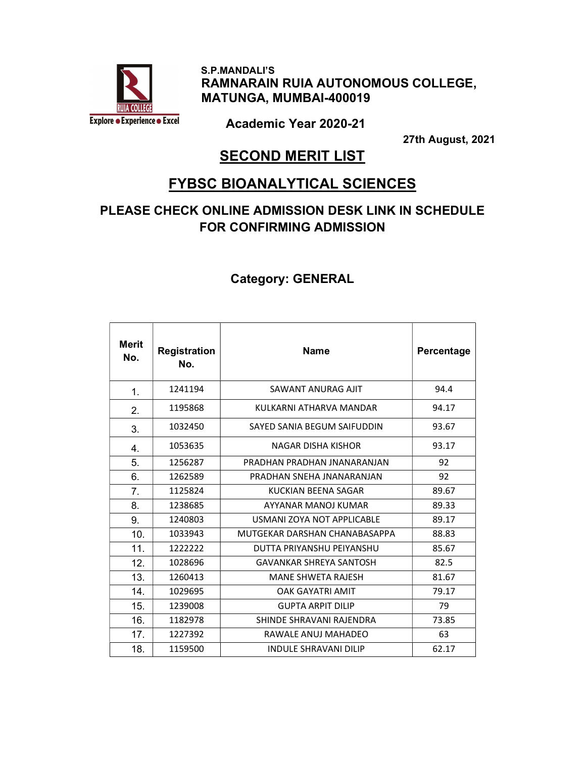

 S.P.MANDALI'S RAMNARAIN RUIA AUTONOMOUS COLLEGE, MATUNGA, MUMBAI-400019

Academic Year 2020-21

27th August, 2021

# **SECOND MERIT LIST**

### FYBSC BIOANALYTICAL SCIENCES

### PLEASE CHECK ONLINE ADMISSION DESK LINK IN SCHEDULE FOR CONFIRMING ADMISSION

| Merit<br>No. | Registration<br>No. | <b>Name</b>                    | Percentage |
|--------------|---------------------|--------------------------------|------------|
| 1.           | 1241194             | SAWANT ANURAG AIIT             | 94.4       |
| 2.           | 1195868             | KULKARNI ATHARVA MANDAR        | 94.17      |
| 3.           | 1032450             | SAYED SANIA BEGUM SAIFUDDIN    | 93.67      |
| 4.           | 1053635             | NAGAR DISHA KISHOR             | 93.17      |
| 5.           | 1256287             | PRADHAN PRADHAN INANARANIAN    | 92         |
| 6.           | 1262589             | PRADHAN SNFHA INANARANIAN      | 92         |
| 7.           | 1125824             | KUCKIAN BEENA SAGAR            | 89.67      |
| 8.           | 1238685             | AYYANAR MANOLKUMAR             | 89.33      |
| 9.           | 1240803             | USMANI ZOYA NOT APPLICABLE     | 89.17      |
| 10.          | 1033943             | MUTGEKAR DARSHAN CHANABASAPPA  | 88.83      |
| 11.          | 1222222             | DUTTA PRIYANSHU PFIYANSHU      | 85.67      |
| 12.          | 1028696             | <b>GAVANKAR SHREYA SANTOSH</b> | 82.5       |
| 13.          | 1260413             | <b>MANE SHWETA RAJESH</b>      | 81.67      |
| 14.          | 1029695             | <b>OAK GAYATRI AMIT</b>        | 79.17      |
| 15.          | 1239008             | <b>GUPTA ARPIT DILIP</b>       | 79         |
| 16.          | 1182978             | SHINDE SHRAVANI RAJENDRA       | 73.85      |
| 17.          | 1227392             | RAWALE ANUJ MAHADEO            | 63         |
| 18.          | 1159500             | <b>INDULE SHRAVANI DILIP</b>   | 62.17      |

#### Category: GENERAL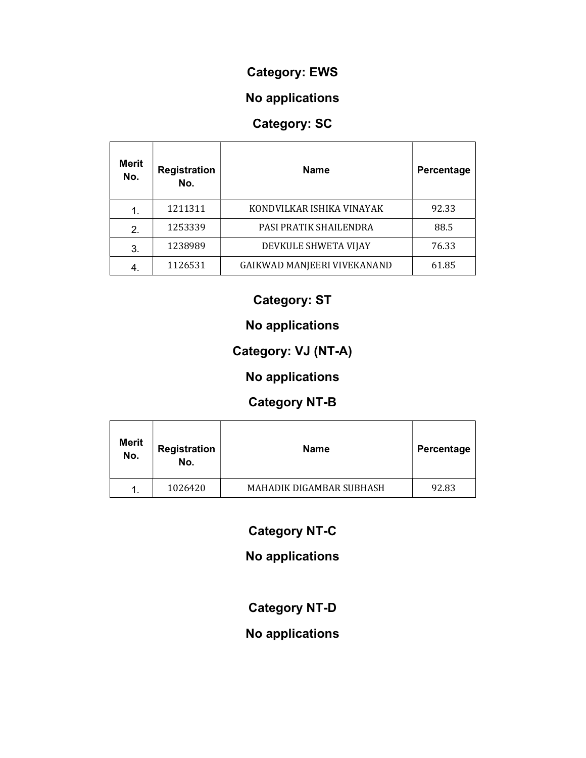#### Category: EWS

# No applications

# Category: SC

| <b>Merit</b><br>No. | <b>Registration</b><br>No. | <b>Name</b>                 | Percentage |
|---------------------|----------------------------|-----------------------------|------------|
| 1.                  | 1211311                    | KONDVILKAR ISHIKA VINAYAK   | 92.33      |
| 2.                  | 1253339                    | PASI PRATIK SHAILENDRA      | 88.5       |
| 3.                  | 1238989                    | DEVKULE SHWETA VIJAY        | 76.33      |
|                     | 1126531                    | GAIKWAD MANJEERI VIVEKANAND | 61.85      |

### Category: ST

### No applications

# Category: VJ (NT-A)

# No applications

# Category NT-B

| <b>Merit</b><br>No. | <b>Registration</b><br>No. | <b>Name</b>              | Percentage |
|---------------------|----------------------------|--------------------------|------------|
|                     | 1026420                    | MAHADIK DIGAMBAR SUBHASH | 92.83      |

# Category NT-C

# No applications

# Category NT-D

### No applications